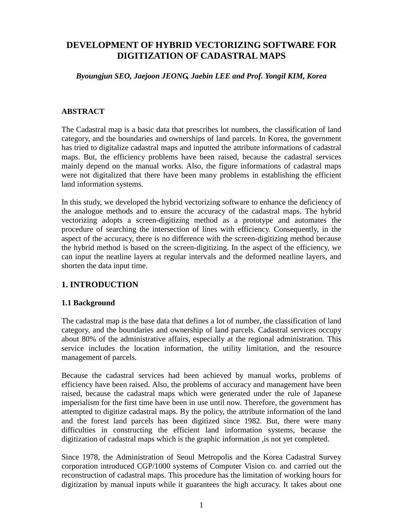# **DEVELOPMENT OF HYBRID VECTORIZING SOFTWARE FOR DIGITIZATION OF CADASTRAL MAPS**

#### *Byoungjun SEO, Jaejoon JEONG, Jaebin LEE and Prof. Yongil KIM, Korea*

#### **ABSTRACT**

The Cadastral map is a basic data that prescribes lot numbers, the classification of land category, and the boundaries and ownerships of land parcels. In Korea, the government has tried to digitalize cadastral maps and inputted the attribute informations of cadastral maps. But, the efficiency problems have been raised, because the cadastral services mainly depend on the manual works. Also, the figure informations of cadastral maps were not digitalized that there have been many problems in establishing the efficient land information systems.

In this study, we developed the hybrid vectorizing software to enhance the deficiency of the analogue methods and to ensure the accuracy of the cadastral maps. The hybrid vectorizing adopts a screen-digitizing method as a prototype and automates the procedure of searching the intersection of lines with efficiency. Consequently, in the aspect of the accuracy, there is no difference with the screen-digitizing method because the hybrid method is based on the screen-digitizing. In the aspect of the efficiency, we can input the neatline layers at regular intervals and the deformed neatline layers, and shorten the data input time.

# **1. INTRODUCTION**

### **1.1 Background**

The cadastral map is the base data that defines a lot of number, the classification of land category, and the boundaries and ownership of land parcels. Cadastral services occupy about 80% of the administrative affairs, especially at the regional administration. This service includes the location information, the utility limitation, and the resource management of parcels.

Because the cadastral services had been achieved by manual works, problems of efficiency have been raised. Also, the problems of accuracy and management have been raised, because the cadastral maps which were generated under the rule of Japanese imperialism for the first time have been in use until now. Therefore, the government has attempted to digitize cadastral maps. By the policy, the attribute information of the land and the forest land parcels has been digitized since 1982. But, there were many difficulties in constructing the efficient land information systems, because the digitization of cadastral maps which is the graphic information ,is not yet completed.

Since 1978, the Administration of Seoul Metropolis and the Korea Cadastral Survey corporation introduced CGP/1000 systems of Computer Vision co. and carried out the reconstruction of cadastral maps. This procedure has the limitation of working hours for digitization by manual inputs while it guarantees the high accuracy. It takes about one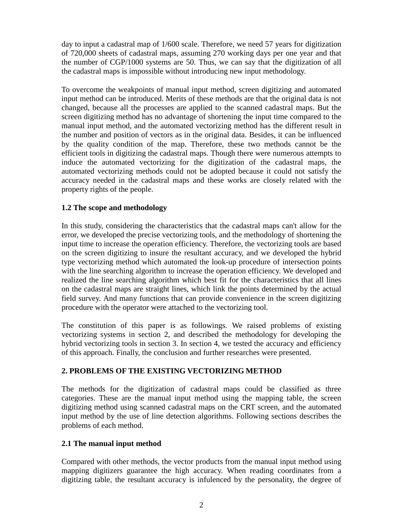day to input a cadastral map of 1/600 scale. Therefore, we need 57 years for digitization of 720,000 sheets of cadastral maps, assuming 270 working days per one year and that the number of CGP/1000 systems are 50. Thus, we can say that the digitization of all the cadastral maps is impossible without introducing new input methodology.

To overcome the weakpoints of manual input method, screen digitizing and automated input method can be introduced. Merits of these methods are that the original data is not changed, because all the processes are applied to the scanned cadastral maps. But the screen digitizing method has no advantage of shortening the input time compared to the manual input method, and the automated vectorizing method has the different result in the number and position of vectors as in the original data. Besides, it can be influenced by the quality condition of the map. Therefore, these two methods cannot be the efficient tools in digitizing the cadastral maps. Though there were numerous attempts to induce the automated vectorizing for the digitization of the cadastral maps, the automated vectorizing methods could not be adopted because it could not satisfy the accuracy needed in the cadastral maps and these works are closely related with the property rights of the people.

### **1.2 The scope and methodology**

In this study, considering the characteristics that the cadastral maps can't allow for the error, we developed the precise vectorizing tools, and the methodology of shortening the input time to increase the operation efficiency. Therefore, the vectorizing tools are based on the screen digitizing to insure the resultant accuracy, and we developed the hybrid type vectorizing method which automated the look-up procedure of intersection points with the line searching algorithm to increase the operation efficiency. We developed and realized the line searching algorithm which best fit for the characteristics that all lines on the cadastral maps are straight lines, which link the points determined by the actual field survey. And many functions that can provide convenience in the screen digitizing procedure with the operator were attached to the vectorizing tool.

The constitution of this paper is as followings. We raised problems of existing vectorizing systems in section 2, and described the methodology for developing the hybrid vectorizing tools in section 3. In section 4, we tested the accuracy and efficiency of this approach. Finally, the conclusion and further researches were presented.

### **2. PROBLEMS OF THE EXISTING VECTORIZING METHOD**

The methods for the digitization of cadastral maps could be classified as three categories. These are the manual input method using the mapping table, the screen digitizing method using scanned cadastral maps on the CRT screen, and the automated input method by the use of line detection algorithms. Following sections describes the problems of each method.

#### **2.1 The manual input method**

Compared with other methods, the vector products from the manual input method using mapping digitizers guarantee the high accuracy. When reading coordinates from a digitizing table, the resultant accuracy is infulenced by the personality, the degree of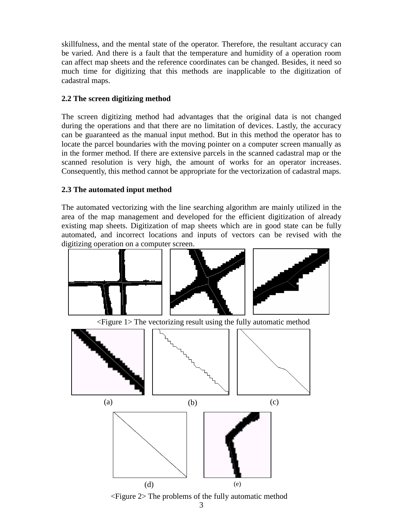skillfulness, and the mental state of the operator. Therefore, the resultant accuracy can be varied. And there is a fault that the temperature and humidity of a operation room can affect map sheets and the reference coordinates can be changed. Besides, it need so much time for digitizing that this methods are inapplicable to the digitization of cadastral maps.

### **2.2 The screen digitizing method**

The screen digitizing method had advantages that the original data is not changed during the operations and that there are no limitation of devices. Lastly, the accuracy can be guaranteed as the manual input method. But in this method the operator has to locate the parcel boundaries with the moving pointer on a computer screen manually as in the former method. If there are extensive parcels in the scanned cadastral map or the scanned resolution is very high, the amount of works for an operator increases. Consequently, this method cannot be appropriate for the vectorization of cadastral maps.

# **2.3 The automated input method**

The automated vectorizing with the line searching algorithm are mainly utilized in the area of the map management and developed for the efficient digitization of already existing map sheets. Digitization of map sheets which are in good state can be fully automated, and incorrect locations and inputs of vectors can be revised with the digitizing operation on a computer screen.



<Figure 1> The vectorizing result using the fully automatic method



<Figure 2> The problems of the fully automatic method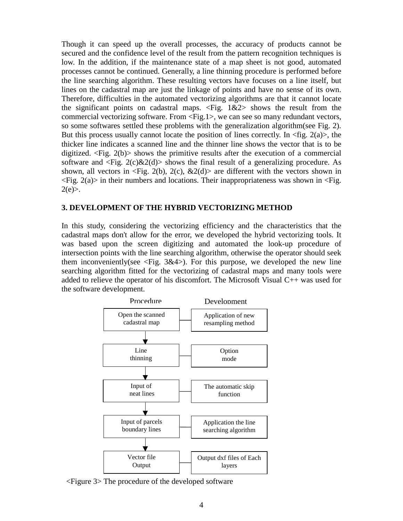Though it can speed up the overall processes, the accuracy of products cannot be secured and the confidence level of the result from the pattern recognition techniques is low. In the addition, if the maintenance state of a map sheet is not good, automated processes cannot be continued. Generally, a line thinning procedure is performed before the line searching algorithm. These resulting vectors have focuses on a line itself, but lines on the cadastral map are just the linkage of points and have no sense of its own. Therefore, difficulties in the automated vectorizing algorithms are that it cannot locate the significant points on cadastral maps. <Fig. 1&2> shows the result from the commercial vectorizing software. From <Fig.1>, we can see so many redundant vectors, so some softwares settled these problems with the generalization algorithm(see Fig. 2). But this process usually cannot locate the position of lines correctly. In  $\langle$  fig. 2(a)>, the thicker line indicates a scanned line and the thinner line shows the vector that is to be digitized.  $\langle$ Fig. 2(b) $>$  shows the primitive results after the execution of a commercial software and  $\langle Fig. 2(c) \& 2(d) \rangle$  shows the final result of a generalizing procedure. As shown, all vectors in  $\langle$ Fig. 2(b), 2(c), &2(d) $>$  are different with the vectors shown in  $\langle Fig. 2(a)\rangle$  in their numbers and locations. Their inappropriateness was shown in  $\langle Fig. 1(a)\rangle$  $2(e)$ .

#### **3. DEVELOPMENT OF THE HYBRID VECTORIZING METHOD**

In this study, considering the vectorizing efficiency and the characteristics that the cadastral maps don't allow for the error, we developed the hybrid vectorizing tools. It was based upon the screen digitizing and automated the look-up procedure of intersection points with the line searching algorithm, otherwise the operator should seek them inconveniently(see  $\langle Fig. 3\&4\rangle$ ). For this purpose, we developed the new line searching algorithm fitted for the vectorizing of cadastral maps and many tools were added to relieve the operator of his discomfort. The Microsoft Visual C++ was used for the software development.



<Figure 3> The procedure of the developed software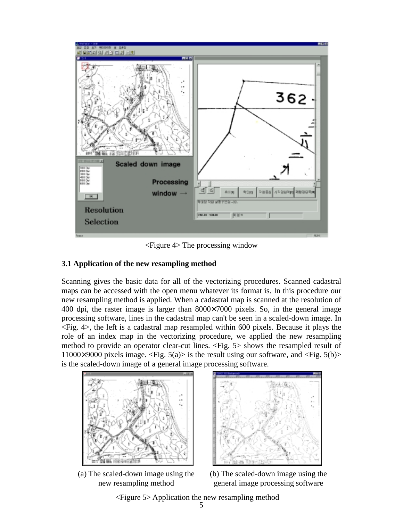

<Figure 4> The processing window

#### **3.1 Application of the new resampling method**

Scanning gives the basic data for all of the vectorizing procedures. Scanned cadastral maps can be accessed with the open menu whatever its format is. In this procedure our new resampling method is applied. When a cadastral map is scanned at the resolution of 400 dpi, the raster image is larger than 8000×7000 pixels. So, in the general image processing software, lines in the cadastral map can't be seen in a scaled-down image. In <Fig. 4>, the left is a cadastral map resampled within 600 pixels. Because it plays the role of an index map in the vectorizing procedure, we applied the new resampling method to provide an operator clear-cut lines. <Fig. 5> shows the resampled result of 11000×9000 pixels image.  $\langle$ Fig. 5(a)> is the result using our software, and  $\langle$ Fig. 5(b)> is the scaled-down image of a general image processing software.



(a) The scaled-down image using the new resampling method



(b) The scaled-down image using the general image processing software

<Figure 5> Application the new resampling method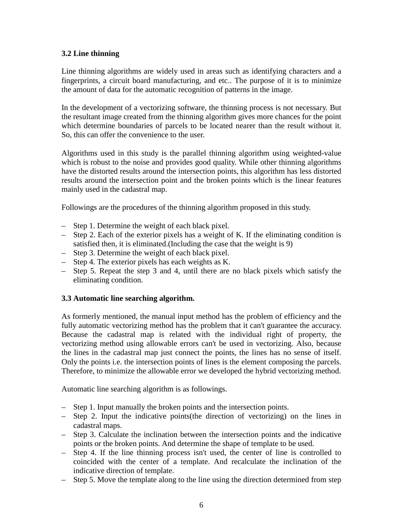### **3.2 Line thinning**

Line thinning algorithms are widely used in areas such as identifying characters and a fingerprints, a circuit board manufacturing, and etc.. The purpose of it is to minimize the amount of data for the automatic recognition of patterns in the image.

In the development of a vectorizing software, the thinning process is not necessary. But the resultant image created from the thinning algorithm gives more chances for the point which determine boundaries of parcels to be located nearer than the result without it. So, this can offer the convenience to the user.

Algorithms used in this study is the parallel thinning algorithm using weighted-value which is robust to the noise and provides good quality. While other thinning algorithms have the distorted results around the intersection points, this algorithm has less distorted results around the intersection point and the broken points which is the linear features mainly used in the cadastral map.

Followings are the procedures of the thinning algorithm proposed in this study.

- Step 1. Determine the weight of each black pixel.
- Step 2. Each of the exterior pixels has a weight of K. If the eliminating condition is satisfied then, it is eliminated.(Including the case that the weight is 9)
- Step 3. Determine the weight of each black pixel.
- Step 4. The exterior pixels has each weights as K.
- Step 5. Repeat the step 3 and 4, until there are no black pixels which satisfy the eliminating condition.

### **3.3 Automatic line searching algorithm.**

As formerly mentioned, the manual input method has the problem of efficiency and the fully automatic vectorizing method has the problem that it can't guarantee the accuracy. Because the cadastral map is related with the individual right of property, the vectorizing method using allowable errors can't be used in vectorizing. Also, because the lines in the cadastral map just connect the points, the lines has no sense of itself. Only the points i.e. the intersection points of lines is the element composing the parcels. Therefore, to minimize the allowable error we developed the hybrid vectorizing method.

Automatic line searching algorithm is as followings.

- Step 1. Input manually the broken points and the intersection points.
- Step 2. Input the indicative points(the direction of vectorizing) on the lines in cadastral maps.
- Step 3. Calculate the inclination between the intersection points and the indicative points or the broken points. And determine the shape of template to be used.
- Step 4. If the line thinning process isn't used, the center of line is controlled to coincided with the center of a template. And recalculate the inclination of the indicative direction of template.
- Step 5. Move the template along to the line using the direction determined from step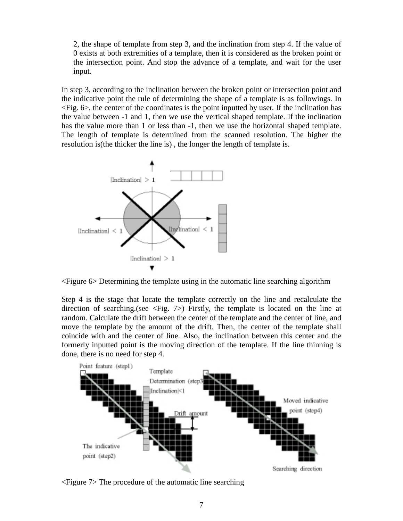2, the shape of template from step 3, and the inclination from step 4. If the value of 0 exists at both extremities of a template, then it is considered as the broken point or the intersection point. And stop the advance of a template, and wait for the user input.

In step 3, according to the inclination between the broken point or intersection point and the indicative point the rule of determining the shape of a template is as followings. In <Fig. 6>, the center of the coordinates is the point inputted by user. If the inclination has the value between -1 and 1, then we use the vertical shaped template. If the inclination has the value more than 1 or less than  $-1$ , then we use the horizontal shaped template. The length of template is determined from the scanned resolution. The higher the resolution is(the thicker the line is) , the longer the length of template is.



<Figure 6> Determining the template using in the automatic line searching algorithm

Step 4 is the stage that locate the template correctly on the line and recalculate the direction of searching.(see  $\langle Fig. 7 \rangle$ ) Firstly, the template is located on the line at random. Calculate the drift between the center of the template and the center of line, and move the template by the amount of the drift. Then, the center of the template shall coincide with and the center of line. Also, the inclination between this center and the formerly inputted point is the moving direction of the template. If the line thinning is done, there is no need for step 4.



<Figure 7> The procedure of the automatic line searching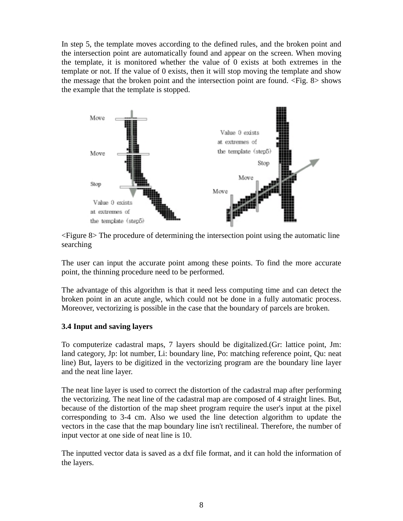In step 5, the template moves according to the defined rules, and the broken point and the intersection point are automatically found and appear on the screen. When moving the template, it is monitored whether the value of 0 exists at both extremes in the template or not. If the value of 0 exists, then it will stop moving the template and show the message that the broken point and the intersection point are found. <Fig. 8> shows the example that the template is stopped.



<Figure 8> The procedure of determining the intersection point using the automatic line searching

The user can input the accurate point among these points. To find the more accurate point, the thinning procedure need to be performed.

The advantage of this algorithm is that it need less computing time and can detect the broken point in an acute angle, which could not be done in a fully automatic process. Moreover, vectorizing is possible in the case that the boundary of parcels are broken.

#### **3.4 Input and saving layers**

To computerize cadastral maps, 7 layers should be digitalized.(Gr: lattice point, Jm: land category, Jp: lot number, Li: boundary line, Po: matching reference point, Qu: neat line) But, layers to be digitized in the vectorizing program are the boundary line layer and the neat line layer.

The neat line layer is used to correct the distortion of the cadastral map after performing the vectorizing. The neat line of the cadastral map are composed of 4 straight lines. But, because of the distortion of the map sheet program require the user's input at the pixel corresponding to 3-4 cm. Also we used the line detection algorithm to update the vectors in the case that the map boundary line isn't rectilineal. Therefore, the number of input vector at one side of neat line is 10.

The inputted vector data is saved as a dxf file format, and it can hold the information of the layers.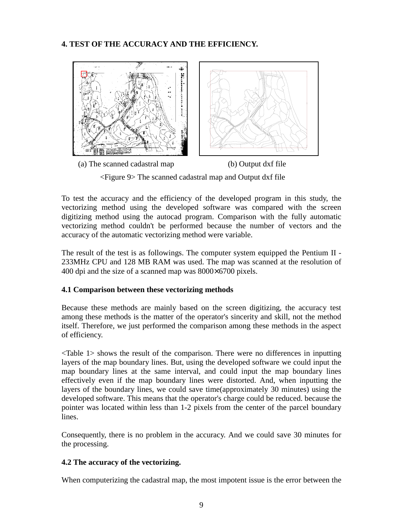## **4. TEST OF THE ACCURACY AND THE EFFICIENCY.**



<Figure 9> The scanned cadastral map and Output dxf file

To test the accuracy and the efficiency of the developed program in this study, the vectorizing method using the developed software was compared with the screen digitizing method using the autocad program. Comparison with the fully automatic vectorizing method couldn't be performed because the number of vectors and the accuracy of the automatic vectorizing method were variable.

The result of the test is as followings. The computer system equipped the Pentium II - 233MHz CPU and 128 MB RAM was used. The map was scanned at the resolution of 400 dpi and the size of a scanned map was  $8000\times6700$  pixels.

### **4.1 Comparison between these vectorizing methods**

Because these methods are mainly based on the screen digitizing, the accuracy test among these methods is the matter of the operator's sincerity and skill, not the method itself. Therefore, we just performed the comparison among these methods in the aspect of efficiency.

<Table 1> shows the result of the comparison. There were no differences in inputting layers of the map boundary lines. But, using the developed software we could input the map boundary lines at the same interval, and could input the map boundary lines effectively even if the map boundary lines were distorted. And, when inputting the layers of the boundary lines, we could save time(approximately 30 minutes) using the developed software. This means that the operator's charge could be reduced. because the pointer was located within less than 1-2 pixels from the center of the parcel boundary lines.

Consequently, there is no problem in the accuracy. And we could save 30 minutes for the processing.

### **4.2 The accuracy of the vectorizing.**

When computerizing the cadastral map, the most impotent issue is the error between the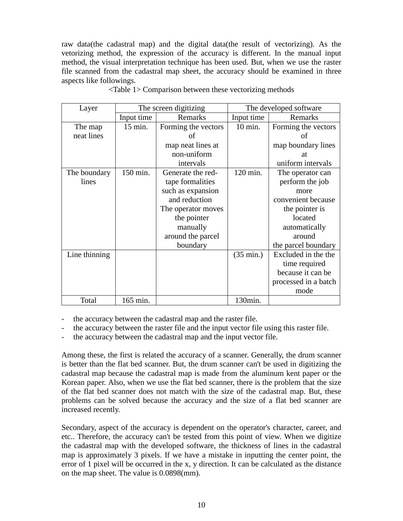raw data(the cadastral map) and the digital data(the result of vectorizing). As the vetorizing method, the expression of the accuracy is different. In the manual input method, the visual interpretation technique has been used. But, when we use the raster file scanned from the cadastral map sheet, the accuracy should be examined in three aspects like followings.

| Layer         | The screen digitizing |                     | The developed software |                      |
|---------------|-----------------------|---------------------|------------------------|----------------------|
|               | Input time            | Remarks             | Input time             | Remarks              |
| The map       | 15 min.               | Forming the vectors | $10 \text{ min.}$      | Forming the vectors  |
| neat lines    |                       | of                  |                        | οf                   |
|               |                       | map neat lines at   |                        | map boundary lines   |
|               |                       | non-uniform         |                        | at                   |
|               |                       | intervals           |                        | uniform intervals    |
| The boundary  | 150 min.              | Generate the red-   | 120 min.               | The operator can     |
| lines         |                       | tape formalities    |                        | perform the job      |
|               |                       | such as expansion   |                        | more                 |
|               |                       | and reduction       |                        | convenient because   |
|               |                       | The operator moves  |                        | the pointer is       |
|               |                       | the pointer         |                        | located              |
|               |                       | manually            |                        | automatically        |
|               |                       | around the parcel   |                        | around               |
|               |                       | boundary            |                        | the parcel boundary  |
| Line thinning |                       |                     | $(35 \text{ min.})$    | Excluded in the the  |
|               |                       |                     |                        | time required        |
|               |                       |                     |                        | because it can be    |
|               |                       |                     |                        | processed in a batch |
|               |                       |                     |                        | mode                 |
| Total         | 165 min.              |                     | 130min.                |                      |

<Table 1> Comparison between these vectorizing methods

the accuracy between the cadastral map and the raster file.

the accuracy between the raster file and the input vector file using this raster file.

the accuracy between the cadastral map and the input vector file.

Among these, the first is related the accuracy of a scanner. Generally, the drum scanner is better than the flat bed scanner. But, the drum scanner can't be used in digitizing the cadastral map because the cadastral map is made from the aluminum kent paper or the Korean paper. Also, when we use the flat bed scanner, there is the problem that the size of the flat bed scanner does not match with the size of the cadastral map. But, these problems can be solved because the accuracy and the size of a flat bed scanner are increased recently.

Secondary, aspect of the accuracy is dependent on the operator's character, career, and etc.. Therefore, the accuracy can't be tested from this point of view. When we digitize the cadastral map with the developed software, the thickness of lines in the cadastral map is approximately 3 pixels. If we have a mistake in inputting the center point, the error of 1 pixel will be occurred in the x, y direction. It can be calculated as the distance on the map sheet. The value is 0.0898(mm).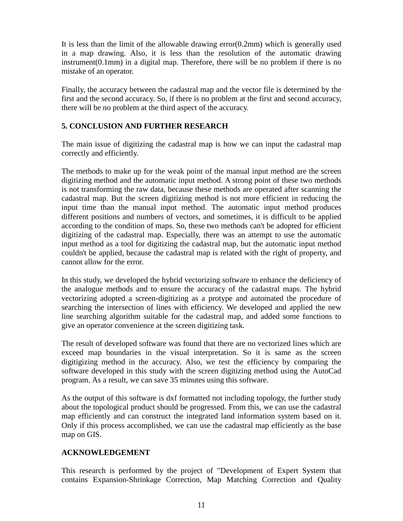It is less than the limit of the allowable drawing error(0.2mm) which is generally used in a map drawing. Also, it is less than the resolution of the automatic drawing instrument(0.1mm) in a digital map. Therefore, there will be no problem if there is no mistake of an operator.

Finally, the accuracy between the cadastral map and the vector file is determined by the first and the second accuracy. So, if there is no problem at the first and second accuracy, there will be no problem at the third aspect of the accuracy.

# **5. CONCLUSION AND FURTHER RESEARCH**

The main issue of digitizing the cadastral map is how we can input the cadastral map correctly and efficiently.

The methods to make up for the weak point of the manual input method are the screen digitizing method and the automatic input method. A strong point of these two methods is not transforming the raw data, because these methods are operated after scanning the cadastral map. But the screen digitizing method is not more efficient in reducing the input time than the manual input method. The automatic input method produces different positions and numbers of vectors, and sometimes, it is difficult to be applied according to the condition of maps. So, these two methods can't be adopted for efficient digitizing of the cadastral map. Especially, there was an attempt to use the automatic input method as a tool for digitizing the cadastral map, but the automatic input method couldn't be applied, because the cadastral map is related with the right of property, and cannot allow for the error.

In this study, we developed the hybrid vectorizing software to enhance the deficiency of the analogue methods and to ensure the accuracy of the cadastral maps. The hybrid vectorizing adopted a screen-digitizing as a protype and automated the procedure of searching the intersection of lines with efficiency. We developed and applied the new line searching algorithm suitable for the cadastral map, and added some functions to give an operator convenience at the screen digitizing task.

The result of developed software was found that there are no vectorized lines which are exceed map boundaries in the visual interpretation. So it is same as the screen digitigizing method in the accuracy. Also, we test the efficiency by comparing the software developed in this study with the screen digitizing method using the AutoCad program. As a result, we can save 35 minutes using this software.

As the output of this software is dxf formatted not including topology, the further study about the topological product should be progressed. From this, we can use the cadastral map efficiently and can construct the integrated land information system based on it. Only if this process accomplished, we can use the cadastral map efficiently as the base map on GIS.

### **ACKNOWLEDGEMENT**

This research is performed by the project of "Development of Expert System that contains Expansion-Shrinkage Correction, Map Matching Correction and Quality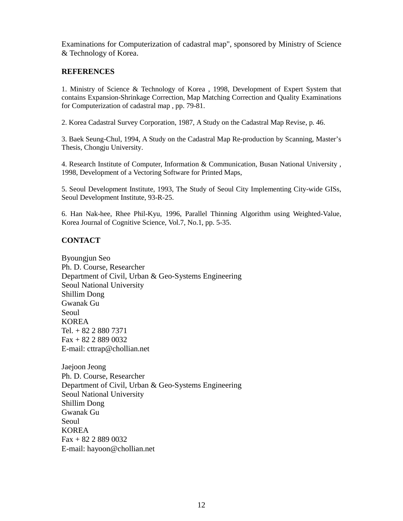Examinations for Computerization of cadastral map", sponsored by Ministry of Science & Technology of Korea.

#### **REFERENCES**

1. Ministry of Science & Technology of Korea , 1998, Development of Expert System that contains Expansion-Shrinkage Correction, Map Matching Correction and Quality Examinations for Computerization of cadastral map , pp. 79-81.

2. Korea Cadastral Survey Corporation, 1987, A Study on the Cadastral Map Revise, p. 46.

3. Baek Seung-Chul, 1994, A Study on the Cadastral Map Re-production by Scanning, Master's Thesis, Chongju University.

4. Research Institute of Computer, Information & Communication, Busan National University , 1998, Development of a Vectoring Software for Printed Maps,

5. Seoul Development Institute, 1993, The Study of Seoul City Implementing City-wide GISs, Seoul Development Institute, 93-R-25.

6. Han Nak-hee, Rhee Phil-Kyu, 1996, Parallel Thinning Algorithm using Weighted-Value, Korea Journal of Cognitive Science, Vol.7, No.1, pp. 5-35.

#### **CONTACT**

Byoungjun Seo Ph. D. Course, Researcher Department of Civil, Urban & Geo-Systems Engineering Seoul National University Shillim Dong Gwanak Gu Seoul KOREA Tel. + 82 2 880 7371 Fax + 82 2 889 0032 E-mail: cttrap@chollian.net

Jaejoon Jeong Ph. D. Course, Researcher Department of Civil, Urban & Geo-Systems Engineering Seoul National University Shillim Dong Gwanak Gu Seoul KOREA Fax + 82 2 889 0032 E-mail: hayoon@chollian.net